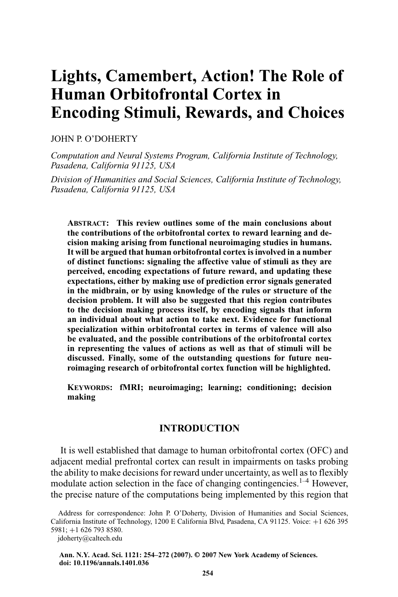# **Lights, Camembert, Action! The Role of Human Orbitofrontal Cortex in Encoding Stimuli, Rewards, and Choices**

## JOHN P. O'DOHERTY

*Computation and Neural Systems Program, California Institute of Technology, Pasadena, California 91125, USA*

*Division of Humanities and Social Sciences, California Institute of Technology, Pasadena, California 91125, USA*

**ABSTRACT: This review outlines some of the main conclusions about the contributions of the orbitofrontal cortex to reward learning and decision making arising from functional neuroimaging studies in humans. It will be argued that human orbitofrontal cortex is involved in a number of distinct functions: signaling the affective value of stimuli as they are perceived, encoding expectations of future reward, and updating these expectations, either by making use of prediction error signals generated in the midbrain, or by using knowledge of the rules or structure of the decision problem. It will also be suggested that this region contributes to the decision making process itself, by encoding signals that inform an individual about what action to take next. Evidence for functional specialization within orbitofrontal cortex in terms of valence will also be evaluated, and the possible contributions of the orbitofrontal cortex in representing the values of actions as well as that of stimuli will be discussed. Finally, some of the outstanding questions for future neuroimaging research of orbitofrontal cortex function will be highlighted.**

**KEYWORDS: fMRI; neuroimaging; learning; conditioning; decision making**

# **INTRODUCTION**

It is well established that damage to human orbitofrontal cortex (OFC) and adjacent medial prefrontal cortex can result in impairments on tasks probing the ability to make decisions for reward under uncertainty, as well as to flexibly modulate action selection in the face of changing contingencies.<sup>1–4</sup> However, the precise nature of the computations being implemented by this region that

jdoherty@caltech.edu

Address for correspondence: John P. O'Doherty, Division of Humanities and Social Sciences, California Institute of Technology, 1200 E California Blvd, Pasadena, CA 91125. Voice: +1 626 395 5981; +1 626 793 8580.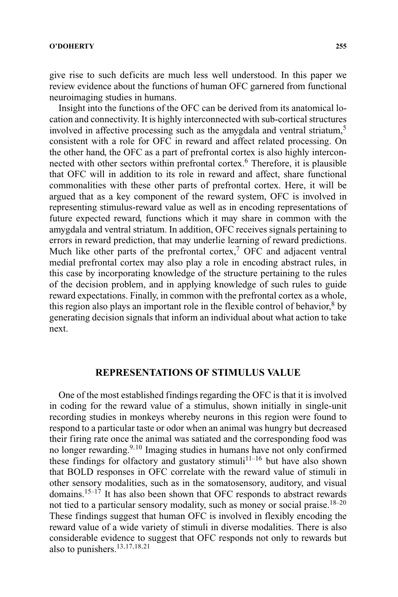give rise to such deficits are much less well understood. In this paper we review evidence about the functions of human OFC garnered from functional neuroimaging studies in humans.

Insight into the functions of the OFC can be derived from its anatomical location and connectivity. It is highly interconnected with sub-cortical structures involved in affective processing such as the amygdala and ventral striatum,<sup>5</sup> consistent with a role for OFC in reward and affect related processing. On the other hand, the OFC as a part of prefrontal cortex is also highly interconnected with other sectors within prefrontal cortex.<sup>6</sup> Therefore, it is plausible that OFC will in addition to its role in reward and affect, share functional commonalities with these other parts of prefrontal cortex. Here, it will be argued that as a key component of the reward system, OFC is involved in representing stimulus-reward value as well as in encoding representations of future expected reward, functions which it may share in common with the amygdala and ventral striatum. In addition, OFC receives signals pertaining to errors in reward prediction, that may underlie learning of reward predictions. Much like other parts of the prefrontal cortex,<sup>7</sup> OFC and adjacent ventral medial prefrontal cortex may also play a role in encoding abstract rules, in this case by incorporating knowledge of the structure pertaining to the rules of the decision problem, and in applying knowledge of such rules to guide reward expectations. Finally, in common with the prefrontal cortex as a whole, this region also plays an important role in the flexible control of behavior, $8$  by generating decision signals that inform an individual about what action to take next.

## **REPRESENTATIONS OF STIMULUS VALUE**

One of the most established findings regarding the OFC is that it is involved in coding for the reward value of a stimulus, shown initially in single-unit recording studies in monkeys whereby neurons in this region were found to respond to a particular taste or odor when an animal was hungry but decreased their firing rate once the animal was satiated and the corresponding food was no longer rewarding.<sup>9</sup>,<sup>10</sup> Imaging studies in humans have not only confirmed these findings for olfactory and gustatory stimuli<sup>11–16</sup> but have also shown that BOLD responses in OFC correlate with the reward value of stimuli in other sensory modalities, such as in the somatosensory, auditory, and visual domains.<sup>15–17</sup> It has also been shown that OFC responds to abstract rewards not tied to a particular sensory modality, such as money or social praise.<sup>18–20</sup> These findings suggest that human OFC is involved in flexibly encoding the reward value of a wide variety of stimuli in diverse modalities. There is also considerable evidence to suggest that OFC responds not only to rewards but also to punishers.<sup>13,17,18,21</sup>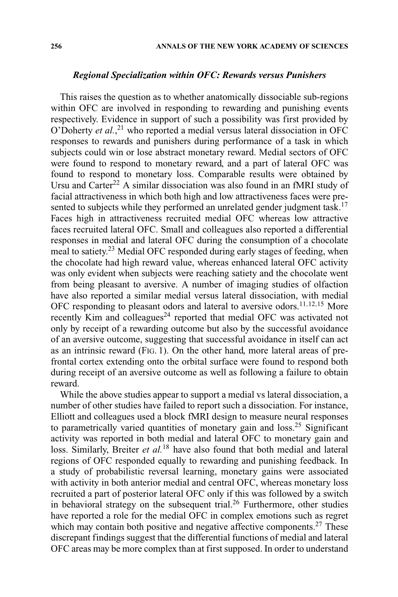## *Regional Specialization within OFC: Rewards versus Punishers*

This raises the question as to whether anatomically dissociable sub-regions within OFC are involved in responding to rewarding and punishing events respectively. Evidence in support of such a possibility was first provided by O'Doherty *et al.*, <sup>21</sup> who reported a medial versus lateral dissociation in OFC responses to rewards and punishers during performance of a task in which subjects could win or lose abstract monetary reward. Medial sectors of OFC were found to respond to monetary reward, and a part of lateral OFC was found to respond to monetary loss. Comparable results were obtained by Ursu and Carter<sup>22</sup> A similar dissociation was also found in an fMRI study of facial attractiveness in which both high and low attractiveness faces were presented to subjects while they performed an unrelated gender judgment task.<sup>17</sup> Faces high in attractiveness recruited medial OFC whereas low attractive faces recruited lateral OFC. Small and colleagues also reported a differential responses in medial and lateral OFC during the consumption of a chocolate meal to satiety.<sup>23</sup> Medial OFC responded during early stages of feeding, when the chocolate had high reward value, whereas enhanced lateral OFC activity was only evident when subjects were reaching satiety and the chocolate went from being pleasant to aversive. A number of imaging studies of olfaction have also reported a similar medial versus lateral dissociation, with medial OFC responding to pleasant odors and lateral to aversive odors.<sup>11,12,15</sup> More recently Kim and colleagues<sup>24</sup> reported that medial OFC was activated not only by receipt of a rewarding outcome but also by the successful avoidance of an aversive outcome, suggesting that successful avoidance in itself can act as an intrinsic reward (FIG. 1). On the other hand, more lateral areas of prefrontal cortex extending onto the orbital surface were found to respond both during receipt of an aversive outcome as well as following a failure to obtain reward.

While the above studies appear to support a medial vs lateral dissociation, a number of other studies have failed to report such a dissociation. For instance, Elliott and colleagues used a block fMRI design to measure neural responses to parametrically varied quantities of monetary gain and loss.<sup>25</sup> Significant activity was reported in both medial and lateral OFC to monetary gain and loss. Similarly, Breiter *et al.*<sup>18</sup> have also found that both medial and lateral regions of OFC responded equally to rewarding and punishing feedback. In a study of probabilistic reversal learning, monetary gains were associated with activity in both anterior medial and central OFC, whereas monetary loss recruited a part of posterior lateral OFC only if this was followed by a switch in behavioral strategy on the subsequent trial.<sup>26</sup> Furthermore, other studies have reported a role for the medial OFC in complex emotions such as regret which may contain both positive and negative affective components.<sup>27</sup> These discrepant findings suggest that the differential functions of medial and lateral OFC areas may be more complex than at first supposed. In order to understand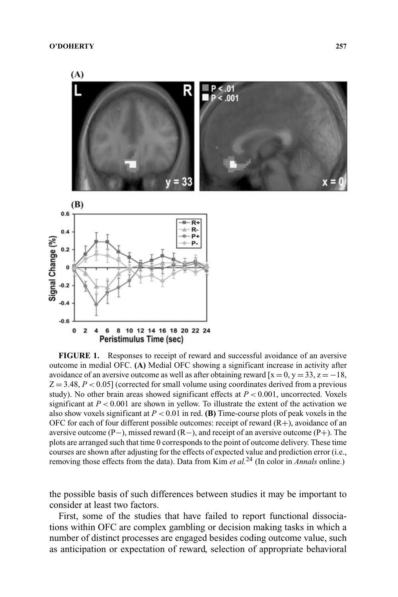

**FIGURE 1.** Responses to receipt of reward and successful avoidance of an aversive outcome in medial OFC. **(A)** Medial OFC showing a significant increase in activity after avoidance of an aversive outcome as well as after obtaining reward  $[x = 0, y = 33, z = -18,$  $Z = 3.48$ ,  $P < 0.05$  (corrected for small volume using coordinates derived from a previous study). No other brain areas showed significant effects at  $P < 0.001$ , uncorrected. Voxels significant at  $P < 0.001$  are shown in yellow. To illustrate the extent of the activation we also show voxels significant at  $P < 0.01$  in red. **(B)** Time-course plots of peak voxels in the OFC for each of four different possible outcomes: receipt of reward  $(R+)$ , avoidance of an aversive outcome (P−), missed reward (R−), and receipt of an aversive outcome (P+). The plots are arranged such that time 0 corresponds to the point of outcome delivery. These time courses are shown after adjusting for the effects of expected value and prediction error (i.e., removing those effects from the data). Data from Kim *et al.*<sup>24</sup> (In color in *Annals* online.)

the possible basis of such differences between studies it may be important to consider at least two factors.

First, some of the studies that have failed to report functional dissociations within OFC are complex gambling or decision making tasks in which a number of distinct processes are engaged besides coding outcome value, such as anticipation or expectation of reward, selection of appropriate behavioral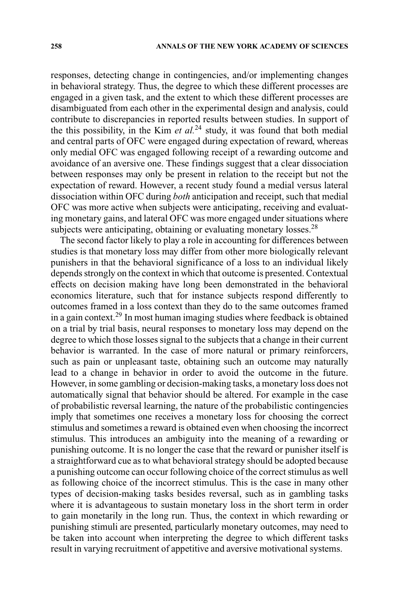responses, detecting change in contingencies, and/or implementing changes in behavioral strategy. Thus, the degree to which these different processes are engaged in a given task, and the extent to which these different processes are disambiguated from each other in the experimental design and analysis, could contribute to discrepancies in reported results between studies. In support of the this possibility, in the Kim  $et$   $al$ <sup>24</sup> study, it was found that both medial and central parts of OFC were engaged during expectation of reward, whereas only medial OFC was engaged following receipt of a rewarding outcome and avoidance of an aversive one. These findings suggest that a clear dissociation between responses may only be present in relation to the receipt but not the expectation of reward. However, a recent study found a medial versus lateral dissociation within OFC during *both* anticipation and receipt, such that medial OFC was more active when subjects were anticipating, receiving and evaluating monetary gains, and lateral OFC was more engaged under situations where subjects were anticipating, obtaining or evaluating monetary losses.<sup>28</sup>

The second factor likely to play a role in accounting for differences between studies is that monetary loss may differ from other more biologically relevant punishers in that the behavioral significance of a loss to an individual likely depends strongly on the context in which that outcome is presented. Contextual effects on decision making have long been demonstrated in the behavioral economics literature, such that for instance subjects respond differently to outcomes framed in a loss context than they do to the same outcomes framed in a gain context.<sup>29</sup> In most human imaging studies where feedback is obtained on a trial by trial basis, neural responses to monetary loss may depend on the degree to which those losses signal to the subjects that a change in their current behavior is warranted. In the case of more natural or primary reinforcers, such as pain or unpleasant taste, obtaining such an outcome may naturally lead to a change in behavior in order to avoid the outcome in the future. However, in some gambling or decision-making tasks, a monetary loss does not automatically signal that behavior should be altered. For example in the case of probabilistic reversal learning, the nature of the probabilistic contingencies imply that sometimes one receives a monetary loss for choosing the correct stimulus and sometimes a reward is obtained even when choosing the incorrect stimulus. This introduces an ambiguity into the meaning of a rewarding or punishing outcome. It is no longer the case that the reward or punisher itself is a straightforward cue as to what behavioral strategy should be adopted because a punishing outcome can occur following choice of the correct stimulus as well as following choice of the incorrect stimulus. This is the case in many other types of decision-making tasks besides reversal, such as in gambling tasks where it is advantageous to sustain monetary loss in the short term in order to gain monetarily in the long run. Thus, the context in which rewarding or punishing stimuli are presented, particularly monetary outcomes, may need to be taken into account when interpreting the degree to which different tasks result in varying recruitment of appetitive and aversive motivational systems.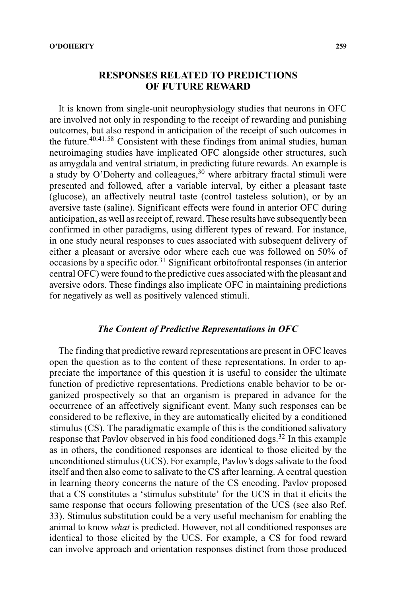# **RESPONSES RELATED TO PREDICTIONS OF FUTURE REWARD**

It is known from single-unit neurophysiology studies that neurons in OFC are involved not only in responding to the receipt of rewarding and punishing outcomes, but also respond in anticipation of the receipt of such outcomes in the future.<sup>40</sup>,41,<sup>58</sup> Consistent with these findings from animal studies, human neuroimaging studies have implicated OFC alongside other structures, such as amygdala and ventral striatum, in predicting future rewards. An example is a study by O'Doherty and colleagues,  $30$  where arbitrary fractal stimuli were presented and followed, after a variable interval, by either a pleasant taste (glucose), an affectively neutral taste (control tasteless solution), or by an aversive taste (saline). Significant effects were found in anterior OFC during anticipation, as well as receipt of, reward. These results have subsequently been confirmed in other paradigms, using different types of reward. For instance, in one study neural responses to cues associated with subsequent delivery of either a pleasant or aversive odor where each cue was followed on 50% of occasions by a specific odor.<sup>31</sup> Significant orbitofrontal responses (in anterior central OFC) were found to the predictive cues associated with the pleasant and aversive odors. These findings also implicate OFC in maintaining predictions for negatively as well as positively valenced stimuli.

#### *The Content of Predictive Representations in OFC*

The finding that predictive reward representations are present in OFC leaves open the question as to the content of these representations. In order to appreciate the importance of this question it is useful to consider the ultimate function of predictive representations. Predictions enable behavior to be organized prospectively so that an organism is prepared in advance for the occurrence of an affectively significant event. Many such responses can be considered to be reflexive, in they are automatically elicited by a conditioned stimulus (CS). The paradigmatic example of this is the conditioned salivatory response that Pavlov observed in his food conditioned dogs.<sup>32</sup> In this example as in others, the conditioned responses are identical to those elicited by the unconditioned stimulus (UCS). For example, Pavlov's dogs salivate to the food itself and then also come to salivate to the CS after learning. A central question in learning theory concerns the nature of the CS encoding. Pavlov proposed that a CS constitutes a 'stimulus substitute' for the UCS in that it elicits the same response that occurs following presentation of the UCS (see also Ref. 33). Stimulus substitution could be a very useful mechanism for enabling the animal to know *what* is predicted. However, not all conditioned responses are identical to those elicited by the UCS. For example, a CS for food reward can involve approach and orientation responses distinct from those produced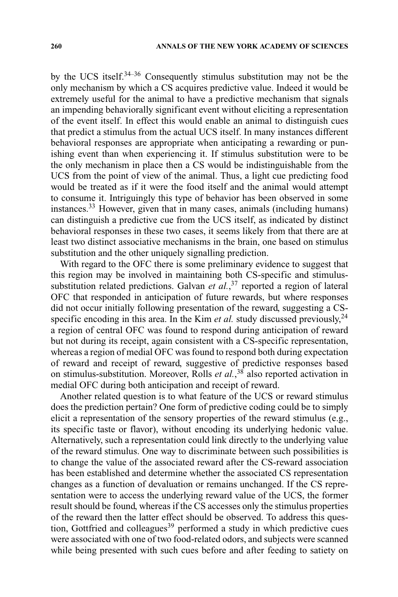by the UCS itself.34–36 Consequently stimulus substitution may not be the only mechanism by which a CS acquires predictive value. Indeed it would be extremely useful for the animal to have a predictive mechanism that signals an impending behaviorally significant event without eliciting a representation of the event itself. In effect this would enable an animal to distinguish cues that predict a stimulus from the actual UCS itself. In many instances different behavioral responses are appropriate when anticipating a rewarding or punishing event than when experiencing it. If stimulus substitution were to be the only mechanism in place then a CS would be indistinguishable from the UCS from the point of view of the animal. Thus, a light cue predicting food would be treated as if it were the food itself and the animal would attempt to consume it. Intriguingly this type of behavior has been observed in some instances.<sup>33</sup> However, given that in many cases, animals (including humans) can distinguish a predictive cue from the UCS itself, as indicated by distinct behavioral responses in these two cases, it seems likely from that there are at least two distinct associative mechanisms in the brain, one based on stimulus substitution and the other uniquely signalling prediction.

With regard to the OFC there is some preliminary evidence to suggest that this region may be involved in maintaining both CS-specific and stimulussubstitution related predictions. Galvan *et al.*, <sup>37</sup> reported a region of lateral OFC that responded in anticipation of future rewards, but where responses did not occur initially following presentation of the reward, suggesting a CSspecific encoding in this area. In the Kim *et al.* study discussed previously,  $24$ a region of central OFC was found to respond during anticipation of reward but not during its receipt, again consistent with a CS-specific representation, whereas a region of medial OFC was found to respond both during expectation of reward and receipt of reward, suggestive of predictive responses based on stimulus-substitution. Moreover, Rolls *et al.*, <sup>38</sup> also reported activation in medial OFC during both anticipation and receipt of reward.

Another related question is to what feature of the UCS or reward stimulus does the prediction pertain? One form of predictive coding could be to simply elicit a representation of the sensory properties of the reward stimulus (e.g., its specific taste or flavor), without encoding its underlying hedonic value. Alternatively, such a representation could link directly to the underlying value of the reward stimulus. One way to discriminate between such possibilities is to change the value of the associated reward after the CS-reward association has been established and determine whether the associated CS representation changes as a function of devaluation or remains unchanged. If the CS representation were to access the underlying reward value of the UCS, the former result should be found, whereas if the CS accesses only the stimulus properties of the reward then the latter effect should be observed. To address this question, Gottfried and colleagues<sup>39</sup> performed a study in which predictive cues were associated with one of two food-related odors, and subjects were scanned while being presented with such cues before and after feeding to satiety on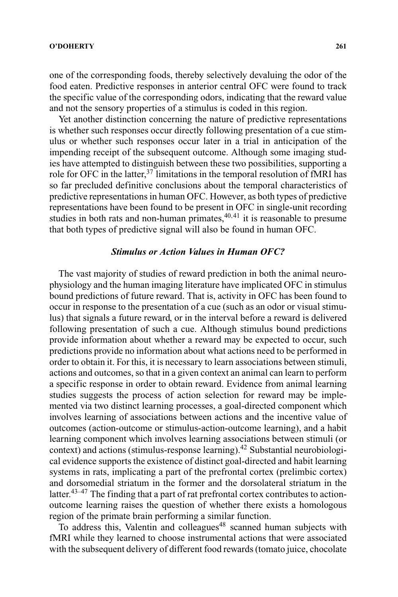one of the corresponding foods, thereby selectively devaluing the odor of the food eaten. Predictive responses in anterior central OFC were found to track the specific value of the corresponding odors, indicating that the reward value and not the sensory properties of a stimulus is coded in this region.

Yet another distinction concerning the nature of predictive representations is whether such responses occur directly following presentation of a cue stimulus or whether such responses occur later in a trial in anticipation of the impending receipt of the subsequent outcome. Although some imaging studies have attempted to distinguish between these two possibilities, supporting a role for OFC in the latter,<sup>37</sup> limitations in the temporal resolution of fMRI has so far precluded definitive conclusions about the temporal characteristics of predictive representations in human OFC. However, as both types of predictive representations have been found to be present in OFC in single-unit recording studies in both rats and non-human primates,  $40,41$  it is reasonable to presume that both types of predictive signal will also be found in human OFC.

## *Stimulus or Action Values in Human OFC?*

The vast majority of studies of reward prediction in both the animal neurophysiology and the human imaging literature have implicated OFC in stimulus bound predictions of future reward. That is, activity in OFC has been found to occur in response to the presentation of a cue (such as an odor or visual stimulus) that signals a future reward, or in the interval before a reward is delivered following presentation of such a cue. Although stimulus bound predictions provide information about whether a reward may be expected to occur, such predictions provide no information about what actions need to be performed in order to obtain it. For this, it is necessary to learn associations between stimuli, actions and outcomes, so that in a given context an animal can learn to perform a specific response in order to obtain reward. Evidence from animal learning studies suggests the process of action selection for reward may be implemented via two distinct learning processes, a goal-directed component which involves learning of associations between actions and the incentive value of outcomes (action-outcome or stimulus-action-outcome learning), and a habit learning component which involves learning associations between stimuli (or  $context)$  and actions (stimulus-response learning).<sup>42</sup> Substantial neurobiological evidence supports the existence of distinct goal-directed and habit learning systems in rats, implicating a part of the prefrontal cortex (prelimbic cortex) and dorsomedial striatum in the former and the dorsolateral striatum in the latter.<sup>43–47</sup> The finding that a part of rat prefrontal cortex contributes to actionoutcome learning raises the question of whether there exists a homologous region of the primate brain performing a similar function.

To address this, Valentin and colleagues<sup>48</sup> scanned human subjects with fMRI while they learned to choose instrumental actions that were associated with the subsequent delivery of different food rewards (tomato juice, chocolate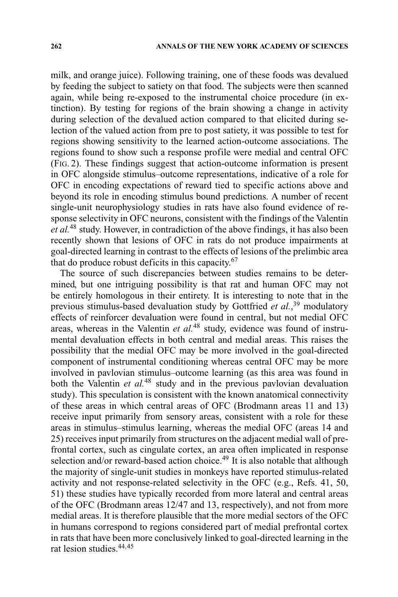milk, and orange juice). Following training, one of these foods was devalued by feeding the subject to satiety on that food. The subjects were then scanned again, while being re-exposed to the instrumental choice procedure (in extinction). By testing for regions of the brain showing a change in activity during selection of the devalued action compared to that elicited during selection of the valued action from pre to post satiety, it was possible to test for regions showing sensitivity to the learned action-outcome associations. The regions found to show such a response profile were medial and central OFC (FIG. 2). These findings suggest that action-outcome information is present in OFC alongside stimulus–outcome representations, indicative of a role for OFC in encoding expectations of reward tied to specific actions above and beyond its role in encoding stimulus bound predictions. A number of recent single-unit neurophysiology studies in rats have also found evidence of response selectivity in OFC neurons, consistent with the findings of the Valentin *et al.*<sup>48</sup> study. However, in contradiction of the above findings, it has also been recently shown that lesions of OFC in rats do not produce impairments at goal-directed learning in contrast to the effects of lesions of the prelimbic area that do produce robust deficits in this capacity.<sup>67</sup>

The source of such discrepancies between studies remains to be determined, but one intriguing possibility is that rat and human OFC may not be entirely homologous in their entirety. It is interesting to note that in the previous stimulus-based devaluation study by Gottfried *et al.*, <sup>39</sup> modulatory effects of reinforcer devaluation were found in central, but not medial OFC areas, whereas in the Valentin *et al.*<sup>48</sup> study, evidence was found of instrumental devaluation effects in both central and medial areas. This raises the possibility that the medial OFC may be more involved in the goal-directed component of instrumental conditioning whereas central OFC may be more involved in pavlovian stimulus–outcome learning (as this area was found in both the Valentin *et al.*<sup>48</sup> study and in the previous pavlovian devaluation study). This speculation is consistent with the known anatomical connectivity of these areas in which central areas of OFC (Brodmann areas 11 and 13) receive input primarily from sensory areas, consistent with a role for these areas in stimulus–stimulus learning, whereas the medial OFC (areas 14 and 25) receives input primarily from structures on the adjacent medial wall of prefrontal cortex, such as cingulate cortex, an area often implicated in response selection and/or reward-based action choice. $49$  It is also notable that although the majority of single-unit studies in monkeys have reported stimulus-related activity and not response-related selectivity in the OFC (e.g., Refs. 41, 50, 51) these studies have typically recorded from more lateral and central areas of the OFC (Brodmann areas 12/47 and 13, respectively), and not from more medial areas. It is therefore plausible that the more medial sectors of the OFC in humans correspond to regions considered part of medial prefrontal cortex in rats that have been more conclusively linked to goal-directed learning in the rat lesion studies.<sup>44,45</sup>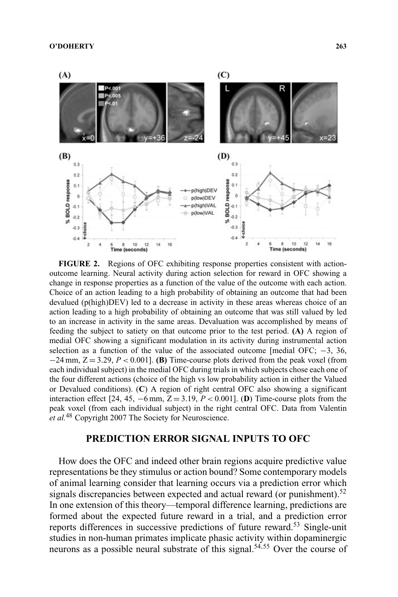

**FIGURE 2.** Regions of OFC exhibiting response properties consistent with actionoutcome learning. Neural activity during action selection for reward in OFC showing a change in response properties as a function of the value of the outcome with each action. Choice of an action leading to a high probability of obtaining an outcome that had been devalued (p(high)DEV) led to a decrease in activity in these areas whereas choice of an action leading to a high probability of obtaining an outcome that was still valued by led to an increase in activity in the same areas. Devaluation was accomplished by means of feeding the subject to satiety on that outcome prior to the test period. **(A)** A region of medial OFC showing a significant modulation in its activity during instrumental action selection as a function of the value of the associated outcome [medial OFC;  $-3$ , 36, −24 mm, Z = 3.29, *P* < 0.001]. **(B)** Time-course plots derived from the peak voxel (from each individual subject) in the medial OFC during trials in which subjects chose each one of the four different actions (choice of the high vs low probability action in either the Valued or Devalued conditions). (**C**) A region of right central OFC also showing a significant interaction effect [24, 45,  $-6$  mm,  $Z = 3.19$ ,  $P < 0.001$ ]. (**D**) Time-course plots from the peak voxel (from each individual subject) in the right central OFC. Data from Valentin *et al.*<sup>48</sup> Copyright 2007 The Society for Neuroscience.

## **PREDICTION ERROR SIGNAL INPUTS TO OFC**

How does the OFC and indeed other brain regions acquire predictive value representations be they stimulus or action bound? Some contemporary models of animal learning consider that learning occurs via a prediction error which signals discrepancies between expected and actual reward (or punishment).<sup>52</sup> In one extension of this theory—temporal difference learning, predictions are formed about the expected future reward in a trial, and a prediction error reports differences in successive predictions of future reward.<sup>53</sup> Single-unit studies in non-human primates implicate phasic activity within dopaminergic neurons as a possible neural substrate of this signal.<sup>54</sup>,<sup>55</sup> Over the course of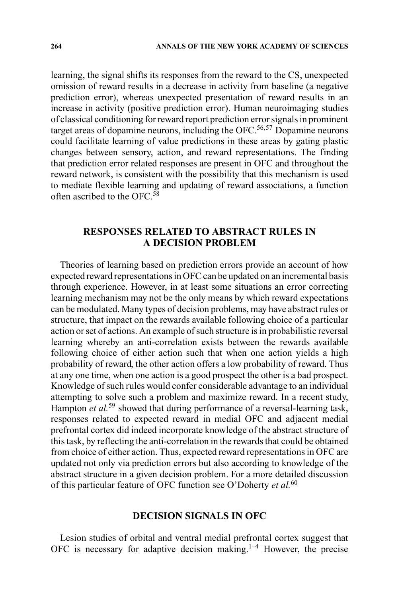learning, the signal shifts its responses from the reward to the CS, unexpected omission of reward results in a decrease in activity from baseline (a negative prediction error), whereas unexpected presentation of reward results in an increase in activity (positive prediction error). Human neuroimaging studies of classical conditioning for reward report prediction error signals in prominent target areas of dopamine neurons, including the OFC.<sup>56,57</sup> Dopamine neurons could facilitate learning of value predictions in these areas by gating plastic changes between sensory, action, and reward representations. The finding that prediction error related responses are present in OFC and throughout the reward network, is consistent with the possibility that this mechanism is used to mediate flexible learning and updating of reward associations, a function often ascribed to the OFC. $58$ 

# **RESPONSES RELATED TO ABSTRACT RULES IN A DECISION PROBLEM**

Theories of learning based on prediction errors provide an account of how expected reward representations in OFC can be updated on an incremental basis through experience. However, in at least some situations an error correcting learning mechanism may not be the only means by which reward expectations can be modulated. Many types of decision problems, may have abstract rules or structure, that impact on the rewards available following choice of a particular action or set of actions. An example of such structure is in probabilistic reversal learning whereby an anti-correlation exists between the rewards available following choice of either action such that when one action yields a high probability of reward, the other action offers a low probability of reward. Thus at any one time, when one action is a good prospect the other is a bad prospect. Knowledge of such rules would confer considerable advantage to an individual attempting to solve such a problem and maximize reward. In a recent study, Hampton *et al.*<sup>59</sup> showed that during performance of a reversal-learning task, responses related to expected reward in medial OFC and adjacent medial prefrontal cortex did indeed incorporate knowledge of the abstract structure of this task, by reflecting the anti-correlation in the rewards that could be obtained from choice of either action. Thus, expected reward representations in OFC are updated not only via prediction errors but also according to knowledge of the abstract structure in a given decision problem. For a more detailed discussion of this particular feature of OFC function see O'Doherty *et al.*<sup>60</sup>

## **DECISION SIGNALS IN OFC**

Lesion studies of orbital and ventral medial prefrontal cortex suggest that OFC is necessary for adaptive decision making.<sup>1-4</sup> However, the precise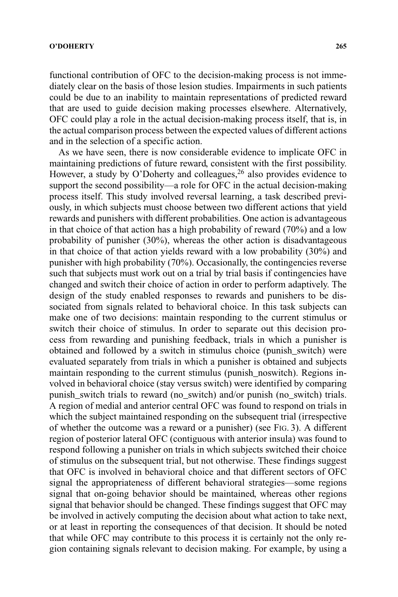functional contribution of OFC to the decision-making process is not immediately clear on the basis of those lesion studies. Impairments in such patients could be due to an inability to maintain representations of predicted reward that are used to guide decision making processes elsewhere. Alternatively, OFC could play a role in the actual decision-making process itself, that is, in the actual comparison process between the expected values of different actions and in the selection of a specific action.

As we have seen, there is now considerable evidence to implicate OFC in maintaining predictions of future reward, consistent with the first possibility. However, a study by O'Doherty and colleagues,  $^{26}$  also provides evidence to support the second possibility—a role for OFC in the actual decision-making process itself. This study involved reversal learning, a task described previously, in which subjects must choose between two different actions that yield rewards and punishers with different probabilities. One action is advantageous in that choice of that action has a high probability of reward (70%) and a low probability of punisher (30%), whereas the other action is disadvantageous in that choice of that action yields reward with a low probability (30%) and punisher with high probability (70%). Occasionally, the contingencies reverse such that subjects must work out on a trial by trial basis if contingencies have changed and switch their choice of action in order to perform adaptively. The design of the study enabled responses to rewards and punishers to be dissociated from signals related to behavioral choice. In this task subjects can make one of two decisions: maintain responding to the current stimulus or switch their choice of stimulus. In order to separate out this decision process from rewarding and punishing feedback, trials in which a punisher is obtained and followed by a switch in stimulus choice (punish\_switch) were evaluated separately from trials in which a punisher is obtained and subjects maintain responding to the current stimulus (punish noswitch). Regions involved in behavioral choice (stay versus switch) were identified by comparing punish\_switch trials to reward (no\_switch) and/or punish (no\_switch) trials. A region of medial and anterior central OFC was found to respond on trials in which the subject maintained responding on the subsequent trial (irrespective of whether the outcome was a reward or a punisher) (see FIG. 3). A different region of posterior lateral OFC (contiguous with anterior insula) was found to respond following a punisher on trials in which subjects switched their choice of stimulus on the subsequent trial, but not otherwise. These findings suggest that OFC is involved in behavioral choice and that different sectors of OFC signal the appropriateness of different behavioral strategies—some regions signal that on-going behavior should be maintained, whereas other regions signal that behavior should be changed. These findings suggest that OFC may be involved in actively computing the decision about what action to take next, or at least in reporting the consequences of that decision. It should be noted that while OFC may contribute to this process it is certainly not the only region containing signals relevant to decision making. For example, by using a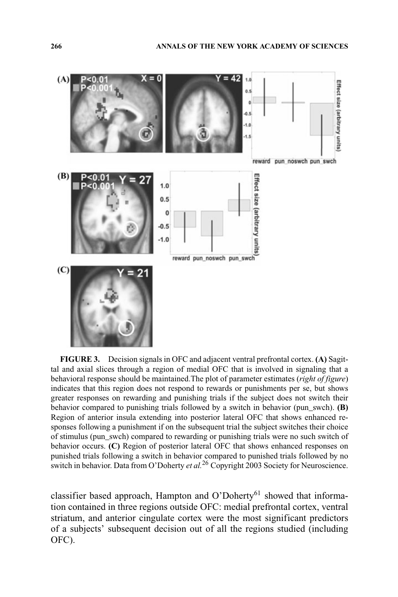

**FIGURE 3.** Decision signals in OFC and adjacent ventral prefrontal cortex. **(A)** Sagittal and axial slices through a region of medial OFC that is involved in signaling that a behavioral response should be maintained.The plot of parameter estimates (*right of figure*) indicates that this region does not respond to rewards or punishments per se, but shows greater responses on rewarding and punishing trials if the subject does not switch their behavior compared to punishing trials followed by a switch in behavior (pun\_swch). **(B)** Region of anterior insula extending into posterior lateral OFC that shows enhanced responses following a punishment if on the subsequent trial the subject switches their choice of stimulus (pun\_swch) compared to rewarding or punishing trials were no such switch of behavior occurs. **(C)** Region of posterior lateral OFC that shows enhanced responses on punished trials following a switch in behavior compared to punished trials followed by no switch in behavior. Data from O'Doherty *et al.*<sup>26</sup> Copyright 2003 Society for Neuroscience.

classifier based approach, Hampton and O'Doherty<sup>61</sup> showed that information contained in three regions outside OFC: medial prefrontal cortex, ventral striatum, and anterior cingulate cortex were the most significant predictors of a subjects' subsequent decision out of all the regions studied (including OFC).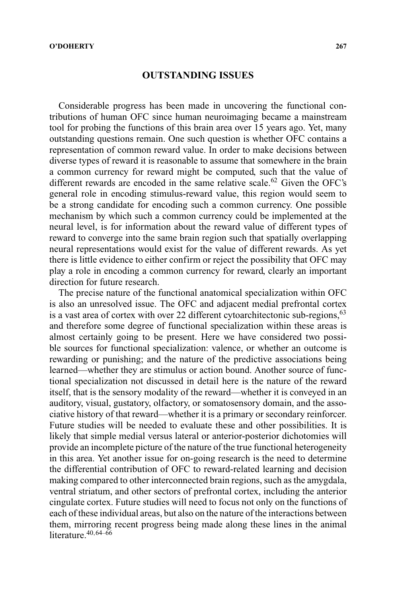# **OUTSTANDING ISSUES**

Considerable progress has been made in uncovering the functional contributions of human OFC since human neuroimaging became a mainstream tool for probing the functions of this brain area over 15 years ago. Yet, many outstanding questions remain. One such question is whether OFC contains a representation of common reward value. In order to make decisions between diverse types of reward it is reasonable to assume that somewhere in the brain a common currency for reward might be computed, such that the value of different rewards are encoded in the same relative scale.<sup>62</sup> Given the OFC's general role in encoding stimulus-reward value, this region would seem to be a strong candidate for encoding such a common currency. One possible mechanism by which such a common currency could be implemented at the neural level, is for information about the reward value of different types of reward to converge into the same brain region such that spatially overlapping neural representations would exist for the value of different rewards. As yet there is little evidence to either confirm or reject the possibility that OFC may play a role in encoding a common currency for reward, clearly an important direction for future research.

The precise nature of the functional anatomical specialization within OFC is also an unresolved issue. The OFC and adjacent medial prefrontal cortex is a vast area of cortex with over 22 different cytoarchitectonic sub-regions,  $63$ and therefore some degree of functional specialization within these areas is almost certainly going to be present. Here we have considered two possible sources for functional specialization: valence, or whether an outcome is rewarding or punishing; and the nature of the predictive associations being learned—whether they are stimulus or action bound. Another source of functional specialization not discussed in detail here is the nature of the reward itself, that is the sensory modality of the reward—whether it is conveyed in an auditory, visual, gustatory, olfactory, or somatosensory domain, and the associative history of that reward—whether it is a primary or secondary reinforcer. Future studies will be needed to evaluate these and other possibilities. It is likely that simple medial versus lateral or anterior-posterior dichotomies will provide an incomplete picture of the nature of the true functional heterogeneity in this area. Yet another issue for on-going research is the need to determine the differential contribution of OFC to reward-related learning and decision making compared to other interconnected brain regions, such as the amygdala, ventral striatum, and other sectors of prefrontal cortex, including the anterior cingulate cortex. Future studies will need to focus not only on the functions of each of these individual areas, but also on the nature of the interactions between them, mirroring recent progress being made along these lines in the animal literature.  $40,64-66$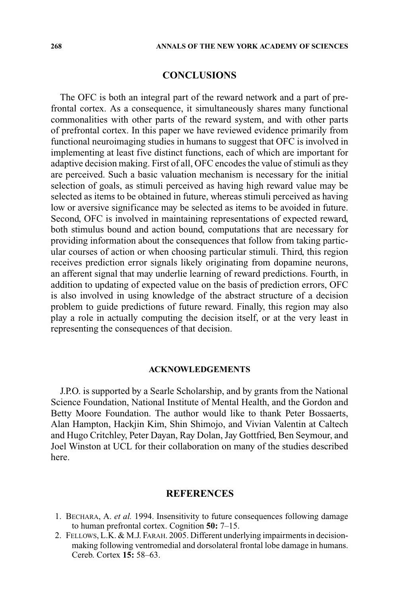# **CONCLUSIONS**

The OFC is both an integral part of the reward network and a part of prefrontal cortex. As a consequence, it simultaneously shares many functional commonalities with other parts of the reward system, and with other parts of prefrontal cortex. In this paper we have reviewed evidence primarily from functional neuroimaging studies in humans to suggest that OFC is involved in implementing at least five distinct functions, each of which are important for adaptive decision making. First of all, OFC encodes the value of stimuli as they are perceived. Such a basic valuation mechanism is necessary for the initial selection of goals, as stimuli perceived as having high reward value may be selected as items to be obtained in future, whereas stimuli perceived as having low or aversive significance may be selected as items to be avoided in future. Second, OFC is involved in maintaining representations of expected reward, both stimulus bound and action bound, computations that are necessary for providing information about the consequences that follow from taking particular courses of action or when choosing particular stimuli. Third, this region receives prediction error signals likely originating from dopamine neurons, an afferent signal that may underlie learning of reward predictions. Fourth, in addition to updating of expected value on the basis of prediction errors, OFC is also involved in using knowledge of the abstract structure of a decision problem to guide predictions of future reward. Finally, this region may also play a role in actually computing the decision itself, or at the very least in representing the consequences of that decision.

#### **ACKNOWLEDGEMENTS**

J.P.O. is supported by a Searle Scholarship, and by grants from the National Science Foundation, National Institute of Mental Health, and the Gordon and Betty Moore Foundation. The author would like to thank Peter Bossaerts, Alan Hampton, Hackjin Kim, Shin Shimojo, and Vivian Valentin at Caltech and Hugo Critchley, Peter Dayan, Ray Dolan, Jay Gottfried, Ben Seymour, and Joel Winston at UCL for their collaboration on many of the studies described here.

## **REFERENCES**

- 1. BECHARA, A. *et al.* 1994. Insensitivity to future consequences following damage to human prefrontal cortex. Cognition **50:** 7–15.
- 2. FELLOWS, L.K. & M.J. FARAH. 2005. Different underlying impairments in decisionmaking following ventromedial and dorsolateral frontal lobe damage in humans. Cereb. Cortex **15:** 58–63.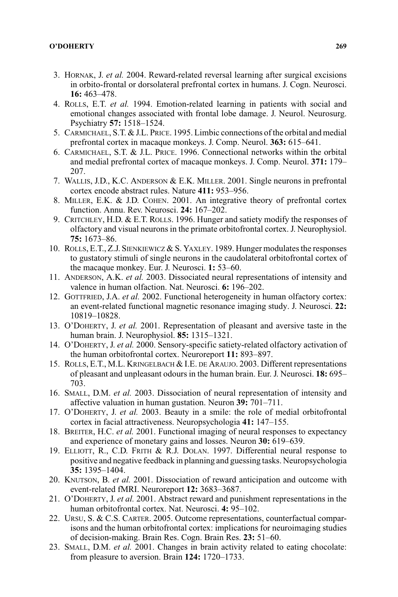- 3. HORNAK, J. *et al.* 2004. Reward-related reversal learning after surgical excisions in orbito-frontal or dorsolateral prefrontal cortex in humans. J. Cogn. Neurosci. **16:** 463–478.
- 4. ROLLS, E.T. *et al.* 1994. Emotion-related learning in patients with social and emotional changes associated with frontal lobe damage. J. Neurol. Neurosurg. Psychiatry **57:** 1518–1524.
- 5. CARMICHAEL, S.T. & J.L. PRICE. 1995. Limbic connections of the orbital and medial prefrontal cortex in macaque monkeys. J. Comp. Neurol. **363:** 615–641.
- 6. CARMICHAEL, S.T. & J.L. PRICE. 1996. Connectional networks within the orbital and medial prefrontal cortex of macaque monkeys. J. Comp. Neurol. **371:** 179– 207.
- 7. WALLIS, J.D., K.C. ANDERSON & E.K. MILLER. 2001. Single neurons in prefrontal cortex encode abstract rules. Nature **411:** 953–956.
- 8. MILLER, E.K. & J.D. COHEN. 2001. An integrative theory of prefrontal cortex function. Annu. Rev. Neurosci. **24:** 167–202.
- 9. CRITCHLEY, H.D. & E.T. ROLLS. 1996. Hunger and satiety modify the responses of olfactory and visual neurons in the primate orbitofrontal cortex. J. Neurophysiol. **75:** 1673–86.
- 10. ROLLS, E.T., Z.J. SIENKIEWICZ & S. YAXLEY. 1989. Hunger modulates the responses to gustatory stimuli of single neurons in the caudolateral orbitofrontal cortex of the macaque monkey. Eur. J. Neurosci. **1:** 53–60.
- 11. ANDERSON, A.K. *et al.* 2003. Dissociated neural representations of intensity and valence in human olfaction. Nat. Neurosci. **6:** 196–202.
- 12. GOTTFRIED, J.A. *et al.* 2002. Functional heterogeneity in human olfactory cortex: an event-related functional magnetic resonance imaging study. J. Neurosci. **22:** 10819–10828.
- 13. O'DOHERTY, J. *et al.* 2001. Representation of pleasant and aversive taste in the human brain. J. Neurophysiol. **85:** 1315–1321.
- 14. O'DOHERTY, J. *et al.* 2000. Sensory-specific satiety-related olfactory activation of the human orbitofrontal cortex. Neuroreport **11:** 893–897.
- 15. ROLLS, E.T., M.L. KRINGELBACH & I.E. DE ARAUJO. 2003. Different representations of pleasant and unpleasant odours in the human brain. Eur. J. Neurosci. **18:** 695– 703.
- 16. SMALL, D.M. *et al.* 2003. Dissociation of neural representation of intensity and affective valuation in human gustation. Neuron **39:** 701–711.
- 17. O'DOHERTY, J. *et al.* 2003. Beauty in a smile: the role of medial orbitofrontal cortex in facial attractiveness. Neuropsychologia **41:** 147–155.
- 18. BREITER, H.C. *et al.* 2001. Functional imaging of neural responses to expectancy and experience of monetary gains and losses. Neuron **30:** 619–639.
- 19. ELLIOTT, R., C.D. FRITH & R.J. DOLAN. 1997. Differential neural response to positive and negative feedback in planning and guessing tasks. Neuropsychologia **35:** 1395–1404.
- 20. KNUTSON, B. *et al.* 2001. Dissociation of reward anticipation and outcome with event-related fMRI. Neuroreport **12:** 3683–3687.
- 21. O'DOHERTY, J. *et al.* 2001. Abstract reward and punishment representations in the human orbitofrontal cortex. Nat. Neurosci. **4:** 95–102.
- 22. URSU, S. & C.S. CARTER. 2005. Outcome representations, counterfactual comparisons and the human orbitofrontal cortex: implications for neuroimaging studies of decision-making. Brain Res. Cogn. Brain Res. **23:** 51–60.
- 23. SMALL, D.M. *et al.* 2001. Changes in brain activity related to eating chocolate: from pleasure to aversion. Brain **124:** 1720–1733.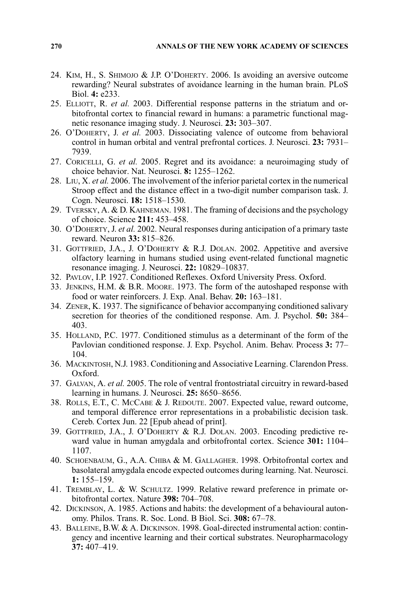- 24. KIM, H., S. SHIMOJO & J.P. O'DOHERTY. 2006. Is avoiding an aversive outcome rewarding? Neural substrates of avoidance learning in the human brain. PLoS Biol. **4:** e233.
- 25. ELLIOTT, R. *et al.* 2003. Differential response patterns in the striatum and orbitofrontal cortex to financial reward in humans: a parametric functional magnetic resonance imaging study. J. Neurosci. **23:** 303–307.
- 26. O'DOHERTY, J. *et al.* 2003. Dissociating valence of outcome from behavioral control in human orbital and ventral prefrontal cortices. J. Neurosci. **23:** 7931– 7939.
- 27. CORICELLI, G. *et al.* 2005. Regret and its avoidance: a neuroimaging study of choice behavior. Nat. Neurosci. **8:** 1255–1262.
- 28. LIU, X. *et al.* 2006. The involvement of the inferior parietal cortex in the numerical Stroop effect and the distance effect in a two-digit number comparison task. J. Cogn. Neurosci. **18:** 1518–1530.
- 29. TVERSKY, A. & D. KAHNEMAN. 1981. The framing of decisions and the psychology of choice. Science **211:** 453–458.
- 30. O'DOHERTY, J. *et al.* 2002. Neural responses during anticipation of a primary taste reward. Neuron **33:** 815–826.
- 31. GOTTFRIED, J.A., J. O'DOHERTY & R.J. DOLAN. 2002. Appetitive and aversive olfactory learning in humans studied using event-related functional magnetic resonance imaging. J. Neurosci. **22:** 10829–10837.
- 32. PAVLOV, I.P. 1927. Conditioned Reflexes. Oxford University Press. Oxford.
- 33. JENKINS, H.M. & B.R. MOORE. 1973. The form of the autoshaped response with food or water reinforcers. J. Exp. Anal. Behav. **20:** 163–181.
- 34. ZENER, K. 1937. The significance of behavior accompanying conditioned salivary secretion for theories of the conditioned response. Am. J. Psychol. **50:** 384– 403.
- 35. HOLLAND, P.C. 1977. Conditioned stimulus as a determinant of the form of the Pavlovian conditioned response. J. Exp. Psychol. Anim. Behav. Process **3:** 77– 104.
- 36. MACKINTOSH, N.J. 1983. Conditioning and Associative Learning. Clarendon Press. Oxford.
- 37. GALVAN, A. *et al.* 2005. The role of ventral frontostriatal circuitry in reward-based learning in humans. J. Neurosci. **25:** 8650–8656.
- 38. ROLLS, E.T., C. MCCABE & J. REDOUTE. 2007. Expected value, reward outcome, and temporal difference error representations in a probabilistic decision task. Cereb. Cortex Jun. 22 [Epub ahead of print].
- 39. GOTTFRIED, J.A., J. O'DOHERTY & R.J. DOLAN. 2003. Encoding predictive reward value in human amygdala and orbitofrontal cortex. Science **301:** 1104– 1107.
- 40. SCHOENBAUM, G., A.A. CHIBA & M. GALLAGHER. 1998. Orbitofrontal cortex and basolateral amygdala encode expected outcomes during learning. Nat. Neurosci. **1:** 155–159.
- 41. TREMBLAY, L. & W. SCHULTZ. 1999. Relative reward preference in primate orbitofrontal cortex. Nature **398:** 704–708.
- 42. DICKINSON, A. 1985. Actions and habits: the development of a behavioural autonomy. Philos. Trans. R. Soc. Lond. B Biol. Sci. **308:** 67–78.
- 43. BALLEINE, B.W. & A. DICKINSON. 1998. Goal-directed instrumental action: contingency and incentive learning and their cortical substrates. Neuropharmacology **37:** 407–419.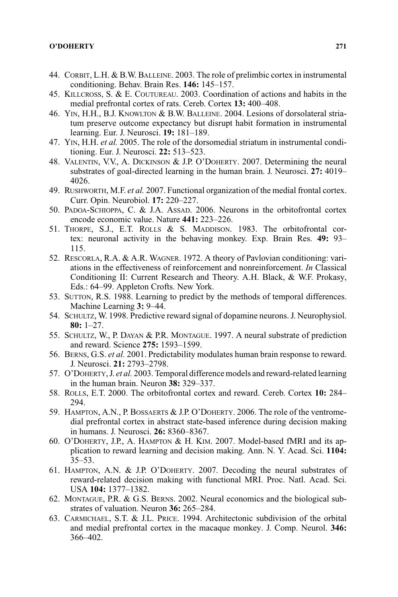- 44. CORBIT, L.H. & B.W. BALLEINE. 2003. The role of prelimbic cortex in instrumental conditioning. Behav. Brain Res. **146:** 145–157.
- 45. KILLCROSS, S. & E. COUTUREAU. 2003. Coordination of actions and habits in the medial prefrontal cortex of rats. Cereb. Cortex **13:** 400–408.
- 46. YIN, H.H., B.J. KNOWLTON & B.W. BALLEINE. 2004. Lesions of dorsolateral striatum preserve outcome expectancy but disrupt habit formation in instrumental learning. Eur. J. Neurosci. **19:** 181–189.
- 47. YIN, H.H. *et al.* 2005. The role of the dorsomedial striatum in instrumental conditioning. Eur. J. Neurosci. **22:** 513–523.
- 48. VALENTIN, V.V., A. DICKINSON & J.P. O'DOHERTY. 2007. Determining the neural substrates of goal-directed learning in the human brain. J. Neurosci. **27:** 4019– 4026.
- 49. RUSHWORTH, M.F. *et al.* 2007. Functional organization of the medial frontal cortex. Curr. Opin. Neurobiol. **17:** 220–227.
- 50. PADOA-SCHIOPPA, C. & J.A. ASSAD. 2006. Neurons in the orbitofrontal cortex encode economic value. Nature **441:** 223–226.
- 51. THORPE, S.J., E.T. ROLLS & S. MADDISON. 1983. The orbitofrontal cortex: neuronal activity in the behaving monkey. Exp. Brain Res. **49:** 93– 115.
- 52. RESCORLA, R.A. & A.R. WAGNER. 1972. A theory of Pavlovian conditioning: variations in the effectiveness of reinforcement and nonreinforcement. *In* Classical Conditioning II: Current Research and Theory. A.H. Black, & W.F. Prokasy, Eds.: 64–99. Appleton Crofts. New York.
- 53. SUTTON, R.S. 1988. Learning to predict by the methods of temporal differences. Machine Learning **3:** 9–44.
- 54. SCHULTZ, W. 1998. Predictive reward signal of dopamine neurons. J. Neurophysiol. **80:** 1–27.
- 55. SCHULTZ, W., P. DAYAN & P.R. MONTAGUE. 1997. A neural substrate of prediction and reward. Science **275:** 1593–1599.
- 56. BERNS, G.S. *et al.* 2001. Predictability modulates human brain response to reward. J. Neurosci. **21:** 2793–2798.
- 57. O'DOHERTY, J. *et al.* 2003. Temporal difference models and reward-related learning in the human brain. Neuron **38:** 329–337.
- 58. ROLLS, E.T. 2000. The orbitofrontal cortex and reward. Cereb. Cortex **10:** 284– 294.
- 59. HAMPTON, A.N., P. BOSSAERTS & J.P. O'DOHERTY. 2006. The role of the ventromedial prefrontal cortex in abstract state-based inference during decision making in humans. J. Neurosci. **26:** 8360–8367.
- 60. O'DOHERTY, J.P., A. HAMPTON & H. KIM. 2007. Model-based fMRI and its application to reward learning and decision making. Ann. N. Y. Acad. Sci. **1104:** 35–53.
- 61. HAMPTON, A.N. & J.P. O'DOHERTY. 2007. Decoding the neural substrates of reward-related decision making with functional MRI. Proc. Natl. Acad. Sci. USA **104:** 1377–1382.
- 62. MONTAGUE, P.R. & G.S. BERNS. 2002. Neural economics and the biological substrates of valuation. Neuron **36:** 265–284.
- 63. CARMICHAEL, S.T. & J.L. PRICE. 1994. Architectonic subdivision of the orbital and medial prefrontal cortex in the macaque monkey. J. Comp. Neurol. **346:** 366–402.